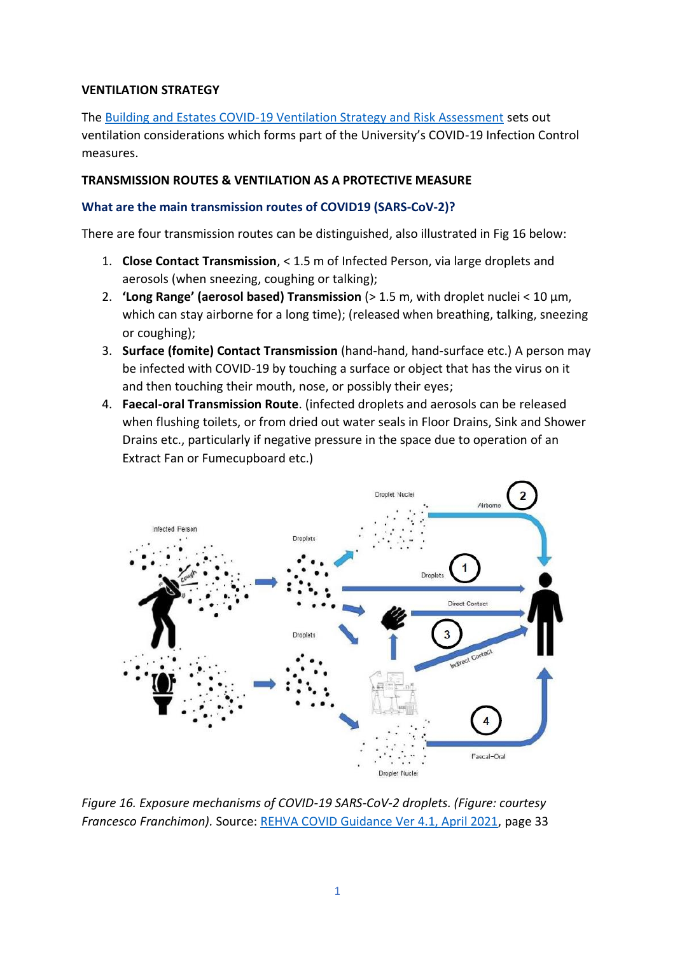#### **VENTILATION STRATEGY**

The [Building and Estates COVID-19 Ventilation Strategy and Risk Assessment](https://uccireland.sharepoint.com/sites/returningtocampus/Shared%20Documents/Forms/AllItems.aspx?id=/sites/returningtocampus/Shared%20Documents/Buildings%20and%20Estates%20Office%20-%20Covid%20Ventilation%20Strategy%20and%20Risk%20Assessment%20Rev%201%20210817.pdf&parent=/sites/returningtocampus/Shared%20Documents) sets out ventilation considerations which forms part of the University's COVID-19 Infection Control measures.

#### **TRANSMISSION ROUTES & VENTILATION AS A PROTECTIVE MEASURE**

#### **What are the main transmission routes of COVID19 (SARS-CoV-2)?**

There are four transmission routes can be distinguished, also illustrated in Fig 16 below:

- 1. **Close Contact Transmission**, < 1.5 m of Infected Person, via large droplets and aerosols (when sneezing, coughing or talking);
- 2. **'Long Range' (aerosol based) Transmission** (> 1.5 m, with droplet nuclei < 10 µm, which can stay airborne for a long time); (released when breathing, talking, sneezing or coughing);
- 3. **Surface (fomite) Contact Transmission** (hand-hand, hand-surface etc.) A person may be infected with COVID-19 by touching a surface or object that has the virus on it and then touching their mouth, nose, or possibly their eyes;
- 4. **Faecal-oral Transmission Route**. (infected droplets and aerosols can be released when flushing toilets, or from dried out water seals in Floor Drains, Sink and Shower Drains etc., particularly if negative pressure in the space due to operation of an Extract Fan or Fumecupboard etc.)



*Figure 16. Exposure mechanisms of COVID-19 SARS-CoV-2 droplets. (Figure: courtesy Francesco Franchimon).* Source[: REHVA COVID Guidance Ver 4.1, April 2021,](https://www.rehva.eu/fileadmin/user_upload/REHVA_COVID-19_guidance_document_V4.1_15042021.pdf) page 33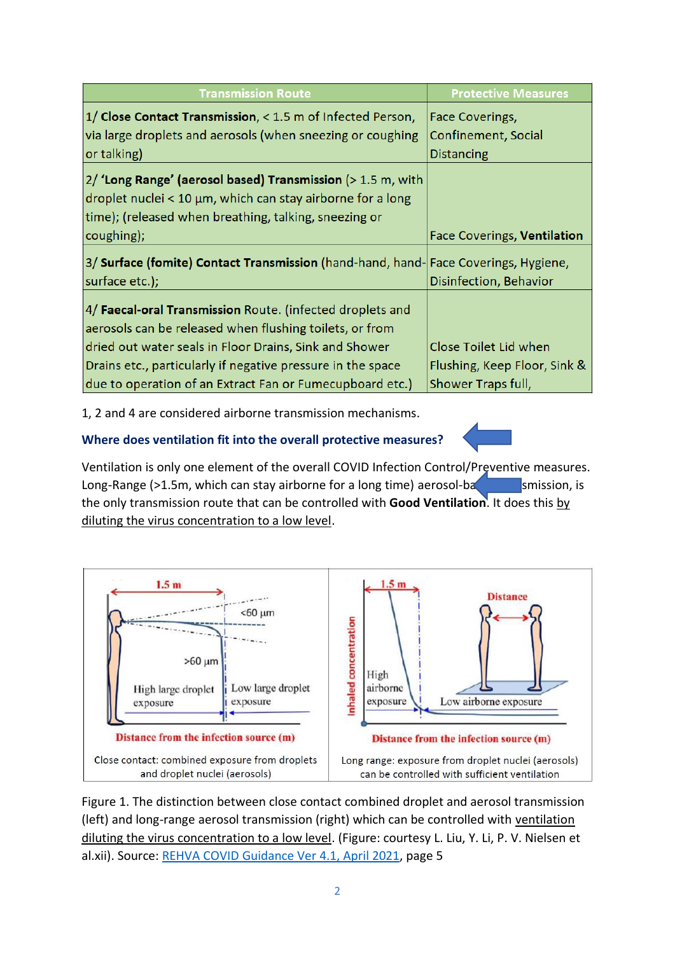| <b>Transmission Route</b>                                                                                                                                                          | <b>Protective Measures</b>   |
|------------------------------------------------------------------------------------------------------------------------------------------------------------------------------------|------------------------------|
| 1/ Close Contact Transmission, < 1.5 m of Infected Person,                                                                                                                         | Face Coverings,              |
| via large droplets and aerosols (when sneezing or coughing                                                                                                                         | Confinement, Social          |
| or talking)                                                                                                                                                                        | <b>Distancing</b>            |
| 2/ 'Long Range' (aerosol based) Transmission (> 1.5 m, with<br>droplet nuclei < 10 μm, which can stay airborne for a long<br>time); (released when breathing, talking, sneezing or |                              |
| coughing);                                                                                                                                                                         | Face Coverings, Ventilation  |
| 3/ Surface (fomite) Contact Transmission (hand-hand, hand- Face Coverings, Hygiene,<br>surface etc.);                                                                              | Disinfection, Behavior       |
| 4/ Faecal-oral Transmission Route. (infected droplets and<br>aerosols can be released when flushing toilets, or from                                                               |                              |
| dried out water seals in Floor Drains, Sink and Shower                                                                                                                             | Close Toilet Lid when        |
| Drains etc., particularly if negative pressure in the space                                                                                                                        | Flushing, Keep Floor, Sink & |
| due to operation of an Extract Fan or Fumecupboard etc.)                                                                                                                           | Shower Traps full,           |

1, 2 and 4 are considered airborne transmission mechanisms.

# **Where does ventilation fit into the overall protective measures?**

Ventilation is only one element of the overall COVID Infection Control/Preventive measures. Long-Range ( $>1.5$ m, which can stay airborne for a long time) aerosol-based transmission, is the only transmission route that can be controlled with **Good Ventilation**. It does this by diluting the virus concentration to a low level.



Figure 1. The distinction between close contact combined droplet and aerosol transmission (left) and long-range aerosol transmission (right) which can be controlled with ventilation diluting the virus concentration to a low level. (Figure: courtesy L. Liu, Y. Li, P. V. Nielsen et al.xii). Source: [REHVA COVID Guidance Ver 4.1, April 2021,](https://www.rehva.eu/fileadmin/user_upload/REHVA_COVID-19_guidance_document_V4.1_15042021.pdf) page 5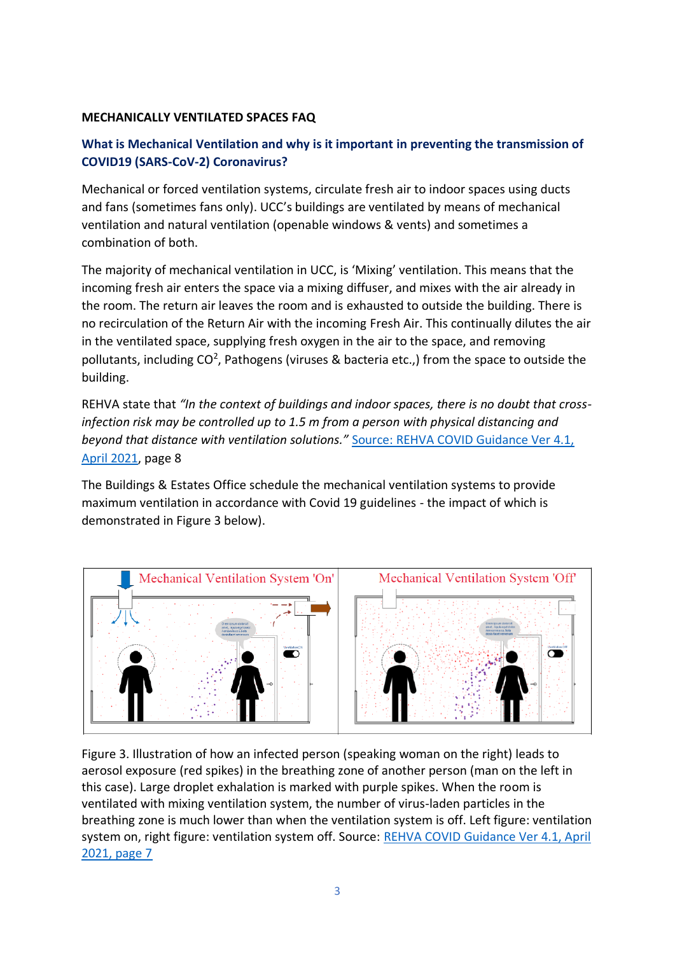#### **MECHANICALLY VENTILATED SPACES FAQ**

# **What is Mechanical Ventilation and why is it important in preventing the transmission of COVID19 (SARS-CoV-2) Coronavirus?**

Mechanical or forced ventilation systems, circulate fresh air to indoor spaces using ducts and fans (sometimes fans only). UCC's buildings are ventilated by means of mechanical ventilation and natural ventilation (openable windows & vents) and sometimes a combination of both.

The majority of mechanical ventilation in UCC, is 'Mixing' ventilation. This means that the incoming fresh air enters the space via a mixing diffuser, and mixes with the air already in the room. The return air leaves the room and is exhausted to outside the building. There is no recirculation of the Return Air with the incoming Fresh Air. This continually dilutes the air in the ventilated space, supplying fresh oxygen in the air to the space, and removing pollutants, including  $CO<sup>2</sup>$ , Pathogens (viruses & bacteria etc.,) from the space to outside the building.

REHVA state that *"In the context of buildings and indoor spaces, there is no doubt that crossinfection risk may be controlled up to 1.5 m from a person with physical distancing and beyond that distance with ventilation solutions."* [Source: REHVA COVID Guidance Ver 4.1,](https://www.rehva.eu/fileadmin/user_upload/REHVA_COVID-19_guidance_document_V4.1_15042021.pdf)  [April 2021,](https://www.rehva.eu/fileadmin/user_upload/REHVA_COVID-19_guidance_document_V4.1_15042021.pdf) page 8

The Buildings & Estates Office schedule the mechanical ventilation systems to provide maximum ventilation in accordance with Covid 19 guidelines - the impact of which is demonstrated in Figure 3 below).



Figure 3. Illustration of how an infected person (speaking woman on the right) leads to aerosol exposure (red spikes) in the breathing zone of another person (man on the left in this case). Large droplet exhalation is marked with purple spikes. When the room is ventilated with mixing ventilation system, the number of virus-laden particles in the breathing zone is much lower than when the ventilation system is off. Left figure: ventilation system on, right figure: ventilation system off. Source: [REHVA COVID Guidance Ver 4.1, April](https://www.rehva.eu/fileadmin/user_upload/REHVA_COVID-19_guidance_document_V4.1_15042021.pdf)  [2021, page 7](https://www.rehva.eu/fileadmin/user_upload/REHVA_COVID-19_guidance_document_V4.1_15042021.pdf)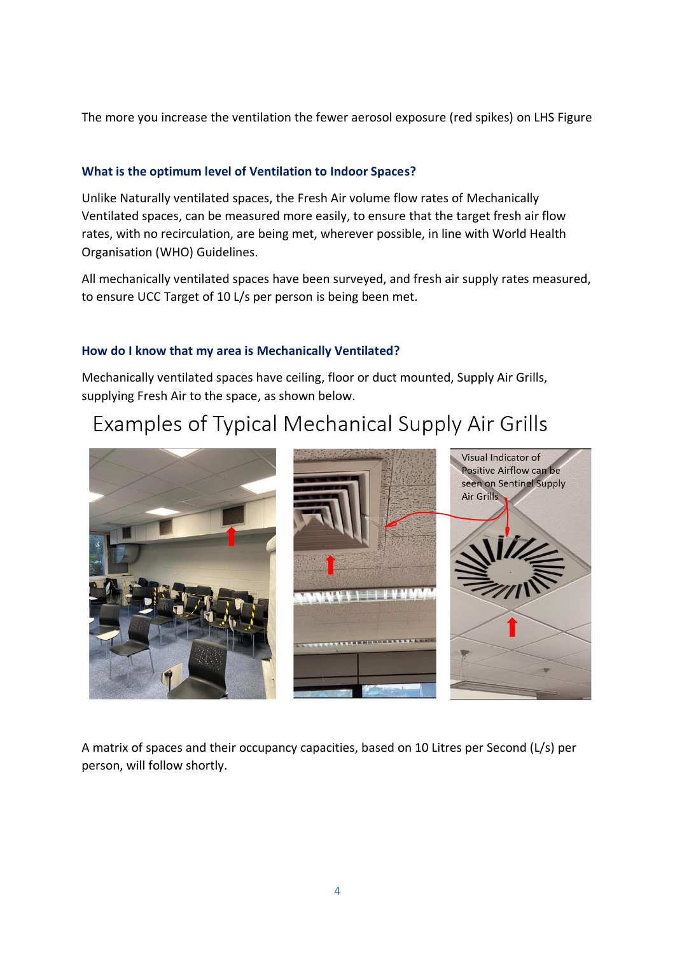The more you increase the ventilation the fewer aerosol exposure (red spikes) o[n LHS](https://www.rehva.eu/fileadmin/user_upload/REHVA_COVID-19_guidance_document_V4.1_15042021.pdf) Figure

#### **What is the optimum level of Ventilation to Indoor Spaces?**

Unlike Naturally ventilated spaces, the Fresh Air volume flow rates of Mechanically Ventilated spaces, can be measured more easily, to ensure that the target fresh air flow rates, with no recirculation, are being met, wherever possible, in line with World Health Organisation (WHO) Guidelines.

All mechanically ventilated spaces have been surveyed, and fresh air supply rates measured, to ensure UCC Target of 10 L/s per person is being been met.

#### **How do I know that my area is Mechanically Ventilated?**

Mechanically ventilated spaces have ceiling, floor or duct mounted, Supply Air Grills, supplying Fresh Air to the space, as shown below.

# Examples of Typical Mechanical Supply Air Grills



A matrix of spaces and their occupancy capacities, based on 10 Litres per Second (L/s) per person, will follow shortly.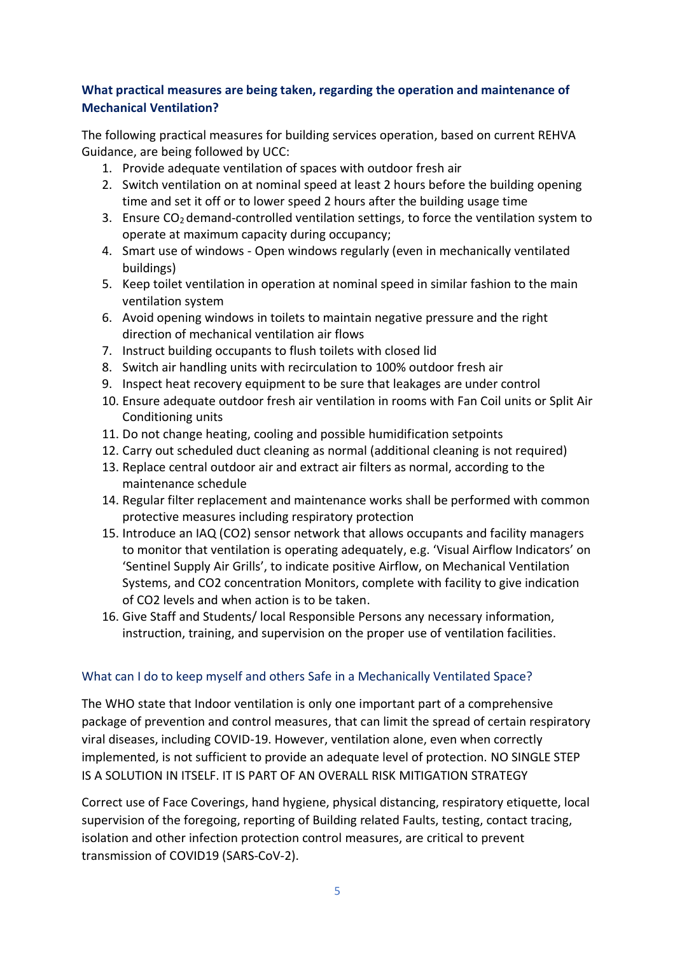### **What practical measures are being taken, regarding the operation and maintenance of Mechanical Ventilation?**

The following practical measures for building services operation, based on current REHVA Guidance, are being followed by UCC:

- 1. Provide adequate ventilation of spaces with outdoor fresh air
- 2. Switch ventilation on at nominal speed at least 2 hours before the building opening time and set it off or to lower speed 2 hours after the building usage time
- 3. Ensure  $CO<sub>2</sub>$  demand-controlled ventilation settings, to force the ventilation system to operate at maximum capacity during occupancy;
- 4. Smart use of windows Open windows regularly (even in mechanically ventilated buildings)
- 5. Keep toilet ventilation in operation at nominal speed in similar fashion to the main ventilation system
- 6. Avoid opening windows in toilets to maintain negative pressure and the right direction of mechanical ventilation air flows
- 7. Instruct building occupants to flush toilets with closed lid
- 8. Switch air handling units with recirculation to 100% outdoor fresh air
- 9. Inspect heat recovery equipment to be sure that leakages are under control
- 10. Ensure adequate outdoor fresh air ventilation in rooms with Fan Coil units or Split Air Conditioning units
- 11. Do not change heating, cooling and possible humidification setpoints
- 12. Carry out scheduled duct cleaning as normal (additional cleaning is not required)
- 13. Replace central outdoor air and extract air filters as normal, according to the maintenance schedule
- 14. Regular filter replacement and maintenance works shall be performed with common protective measures including respiratory protection
- 15. Introduce an IAQ (CO2) sensor network that allows occupants and facility managers to monitor that ventilation is operating adequately, e.g. 'Visual Airflow Indicators' on 'Sentinel Supply Air Grills', to indicate positive Airflow, on Mechanical Ventilation Systems, and CO2 concentration Monitors, complete with facility to give indication of CO2 levels and when action is to be taken.
- 16. Give Staff and Students/ local Responsible Persons any necessary information, instruction, training, and supervision on the proper use of ventilation facilities.

# What can I do to keep myself and others Safe in a Mechanically Ventilated Space?

The WHO state that Indoor ventilation is only one important part of a comprehensive package of prevention and control measures, that can limit the spread of certain respiratory viral diseases, including COVID-19. However, ventilation alone, even when correctly implemented, is not sufficient to provide an adequate level of protection. NO SINGLE STEP IS A SOLUTION IN ITSELF. IT IS PART OF AN OVERALL RISK MITIGATION STRATEGY

Correct use of Face Coverings, hand hygiene, physical distancing, respiratory etiquette, local supervision of the foregoing, reporting of Building related Faults, testing, contact tracing, isolation and other infection protection control measures, are critical to prevent transmission of COVID19 (SARS-CoV-2).